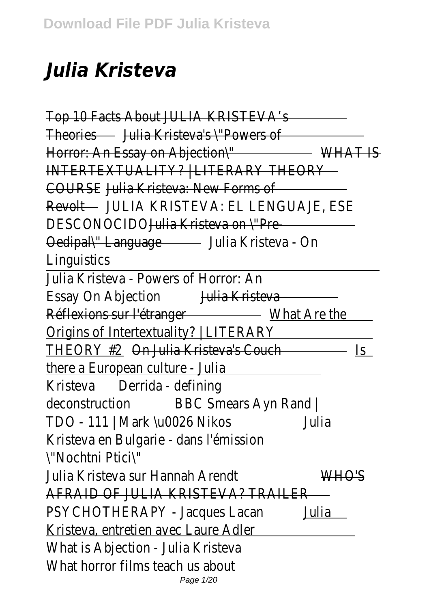## *Julia Kristeva*

Top 10 Facts About JULIA KRISTEVA's Theories Julia Kristeva's \"Powers of Horror: An Essay on Abjection\" WHAT IS INTERTEXTUALITY? | LITERARY THEORY COURSEJulia Kristeva: New Forms of Revolt JULIA KRISTEVA: EL LENGUAJE, ESE DESCONOCID<del>Qulia Kristeva on \"Pre----</del> Oedipal\" Language Julia Kristeva - On **Linguistics** 

Julia Kristeva - Powers of Horror: An Essay On Abjection Julia Kristeva Réflexions sur l'étranger - What Are the Origins of Intertextuality? | LITERARY THEORY #20n Julia Kristeva's Couch - Is there a European culture - Julia Kristeva Derrida - defining deconstruction BBC Smears Ayn Rand | TDO - 111 | Mark \u0026 NikosJulia Kristeva en Bulgarie - dans l'émission \"Nochtni Ptici\"

Julia Kristeva sur Hannah Arendt WHO'S AFRAID OF JULIA KRISTEVA? TRAILER PSYCHOTHERAPY - Jacques Lacanulia Kristeva, entretien avec Laure Adler What is Abjection - Julia Kristeva What horror films teach us about Page 1/20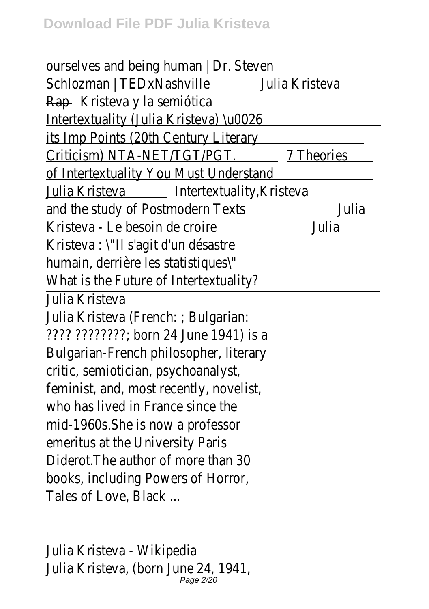ourselves and being human | Dr. Steven Schlozman | TEDxNashville Julia Kristeva Rap Kristeva y la semiótica Intertextuality (Julia Kristeva) \u0026 its Imp Points (20th Century Literary Criticism) NTA-NET/TGT/PGT. 7 Theories of Intertextuality You Must Understand Julia Kristeva | Intertextuality, Kristeva and the study of Postmodern Texts Julia Kristeva - Le besoin de croire Julia Kristeva : \"Il s'agit d'un désastre humain, derrière les statistiques\" What is the Future of Intertextuality? Julia Kristeva Julia Kristeva (French: ; Bulgarian: ???? ????????; born 24 June 1941) is a Bulgarian-French philosopher, literary critic, semiotician, psychoanalyst, feminist, and, most recently, novelist, who has lived in France since the mid-1960s.She is now a professor emeritus at the University Paris Diderot.The author of more than 30 books, including Powers of Horror, Tales of Love, Black ...

Julia Kristeva - Wikipedia Julia Kristeva, (born June 24, 1941, Page 2/20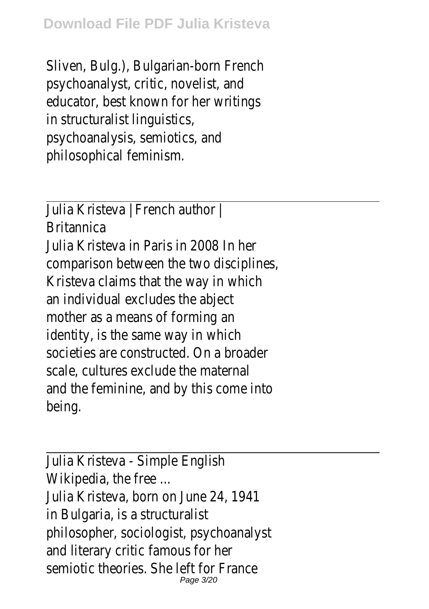Sliven, Bulg.), Bulgarian-born French psychoanalyst, critic, novelist, and educator, best known for her writings in structuralist linguistics, psychoanalysis, semiotics, and philosophical feminism.

Julia Kristeva | French author | Britannica Julia Kristeva in Paris in 2008 In her comparison between the two disciplines, Kristeva claims that the way in which an individual excludes the abject mother as a means of forming an identity, is the same way in which societies are constructed. On a broader scale, cultures exclude the maternal and the feminine, and by this come into being.

Julia Kristeva - Simple English Wikipedia, the free ... Julia Kristeva, born on June 24, 1941 in Bulgaria, is a structuralist philosopher, sociologist, psychoanalyst and literary critic famous for her semiotic theories. She left for France Page 3/20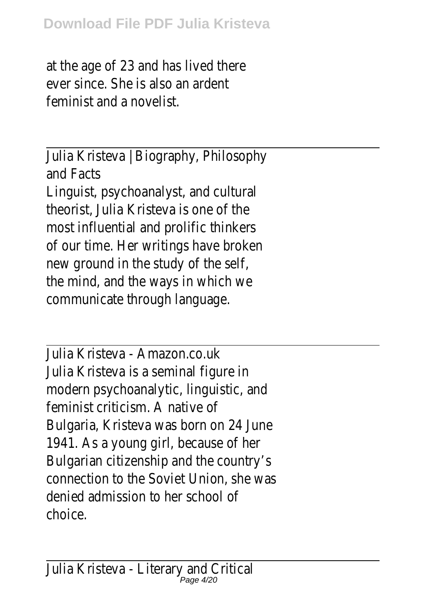at the age of 23 and has lived there ever since. She is also an ardent feminist and a novelist.

Julia Kristeva | Biography, Philosophy and Facts

Linguist, psychoanalyst, and cultural theorist, Julia Kristeva is one of the most influential and prolific thinkers of our time. Her writings have broken new ground in the study of the self, the mind, and the ways in which we communicate through language.

Julia Kristeva - Amazon.co.uk Julia Kristeva is a seminal figure in modern psychoanalytic, linguistic, and feminist criticism. A native of Bulgaria, Kristeva was born on 24 June 1941. As a young girl, because of her Bulgarian citizenship and the country's connection to the Soviet Union, she was denied admission to her school of choice.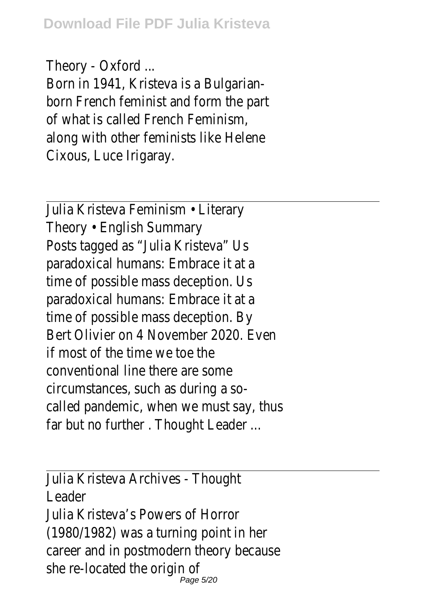Theory - Oxford ...

Born in 1941, Kristeva is a Bulgarianborn French feminist and form the part of what is called French Feminism, along with other feminists like Helene Cixous, Luce Irigaray.

Julia Kristeva Feminism • Literary Theory • English Summary Posts tagged as "Julia Kristeva" Us paradoxical humans: Embrace it at a time of possible mass deception. Us paradoxical humans: Embrace it at a time of possible mass deception. By Bert Olivier on 4 November 2020. Even if most of the time we toe the conventional line there are some circumstances, such as during a socalled pandemic, when we must say, thus far but no further . Thought Leader ...

Julia Kristeva Archives - Thought Leader Julia Kristeva's Powers of Horror (1980/1982) was a turning point in her career and in postmodern theory because she re-located the origin of Page 5/20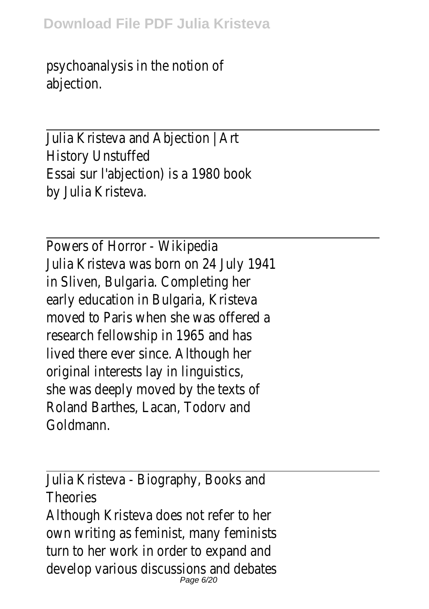psychoanalysis in the notion of abjection.

Julia Kristeva and Abjection | Art History Unstuffed Essai sur l'abjection) is a 1980 book by Julia Kristeva.

Powers of Horror - Wikipedia Julia Kristeva was born on 24 July 1941 in Sliven, Bulgaria. Completing her early education in Bulgaria, Kristeva moved to Paris when she was offered a research fellowship in 1965 and has lived there ever since. Although her original interests lay in linguistics, she was deeply moved by the texts of Roland Barthes, Lacan, Todorv and Goldmann.

Julia Kristeva - Biography, Books and Theories Although Kristeva does not refer to her own writing as feminist, many feminists turn to her work in order to expand and develop various discussions and debates Page 6/20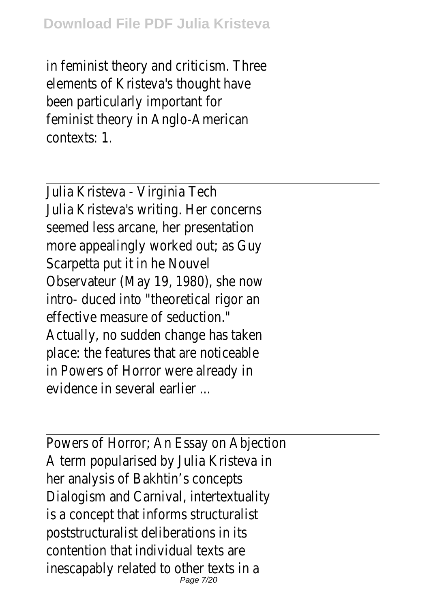in feminist theory and criticism. Three elements of Kristeva's thought have been particularly important for feminist theory in Anglo-American contexts: 1.

Julia Kristeva - Virginia Tech Julia Kristeva's writing. Her concerns seemed less arcane, her presentation more appealingly worked out; as Guy Scarpetta put it in he Nouvel Observateur (May 19, 1980), she now intro- duced into "theoretical rigor an effective measure of seduction." Actually, no sudden change has taken place: the features that are noticeable in Powers of Horror were already in evidence in several earlier

Powers of Horror; An Essay on Abjection A term popularised by Julia Kristeva in her analysis of Bakhtin's concepts Dialogism and Carnival, intertextuality is a concept that informs structuralist poststructuralist deliberations in its contention that individual texts are inescapably related to other texts in a Page 7/20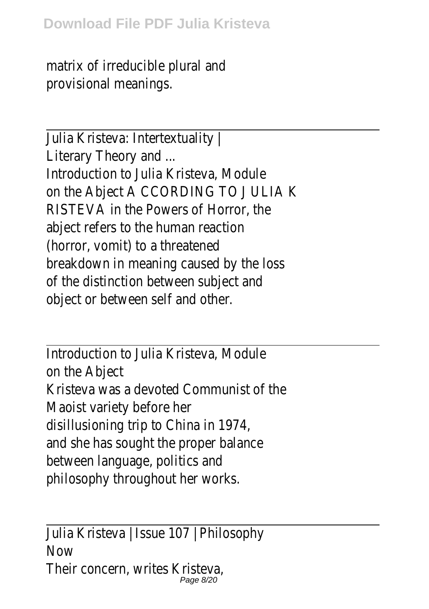matrix of irreducible plural and provisional meanings.

Julia Kristeva: Intertextuality | Literary Theory and ... Introduction to Julia Kristeva, Module on the Abject A CCORDING TO J ULIA K RISTEVA in the Powers of Horror, the abject refers to the human reaction (horror, vomit) to a threatened breakdown in meaning caused by the loss of the distinction between subject and object or between self and other.

Introduction to Julia Kristeva, Module on the Abject Kristeva was a devoted Communist of the Maoist variety before her disillusioning trip to China in 1974, and she has sought the proper balance between language, politics and philosophy throughout her works.

Julia Kristeva | Issue 107 | Philosophy **Now** Their concern, writes Kristeva, Page 8/20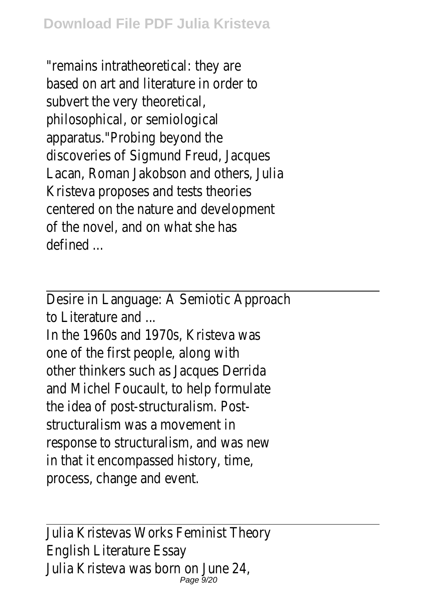"remains intratheoretical: they are based on art and literature in order to subvert the very theoretical, philosophical, or semiological apparatus."Probing beyond the discoveries of Sigmund Freud, Jacques Lacan, Roman Jakobson and others, Julia Kristeva proposes and tests theories centered on the nature and development of the novel, and on what she has defined ...

Desire in Language: A Semiotic Approach to Literature and ...

In the 1960s and 1970s, Kristeva was one of the first people, along with other thinkers such as Jacques Derrida and Michel Foucault, to help formulate the idea of post-structuralism. Poststructuralism was a movement in response to structuralism, and was new in that it encompassed history, time, process, change and event.

Julia Kristevas Works Feminist Theory English Literature Essay Julia Kristeva was born on June 24, Page 9/20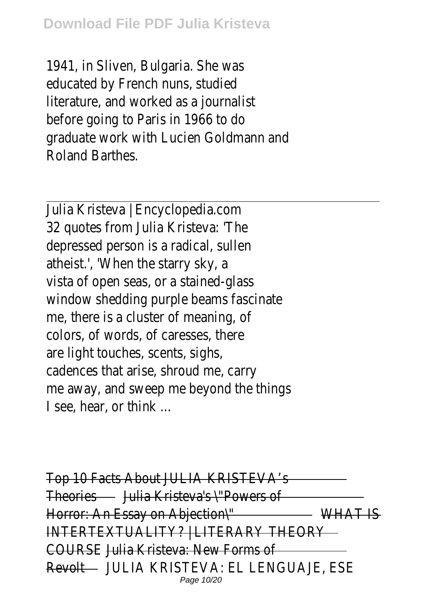1941, in Sliven, Bulgaria. She was educated by French nuns, studied literature, and worked as a journalist before going to Paris in 1966 to do graduate work with Lucien Goldmann and Roland Barthes.

Julia Kristeva | Encyclopedia.com 32 quotes from Julia Kristeva: 'The depressed person is a radical, sullen atheist.', 'When the starry sky, a vista of open seas, or a stained-glass window shedding purple beams fascinate me, there is a cluster of meaning, of colors, of words, of caresses, there are light touches, scents, sighs, cadences that arise, shroud me, carry me away, and sweep me beyond the things I see, hear, or think ...

Top 10 Facts About JULIA KRISTEVA's Theories Julia Kristeva's \"Powers of Horror: An Essay on Abjection\" WHAT IS INTERTEXTUALITY? | LITERARY THEORY COURSEJulia Kristeva: New Forms of Revolt JULIA KRISTEVA: EL LENGUAJE, ESE Page 10/20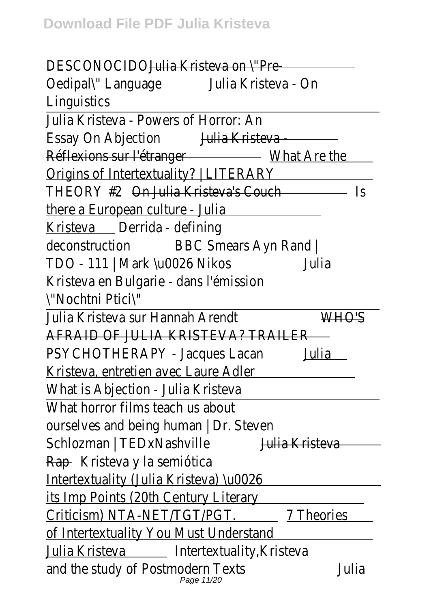DESCONOCID<del>OJIja Kristeva on \"Pre-</del> Oedipal\" Language Julia Kristeva - On **Linguistics** 

Julia Kristeva - Powers of Horror: An Essay On Abjection Julia Kristeva -Réflexions sur l'étranger - What Are the Origins of Intertextuality? | LITERARY THEORY #20n Julia Kristeva's Couch - Is there a European culture - Julia Kristeva Derrida - defining deconstruction BBC Smears Ayn Rand | TDO - 111 | Mark \u0026 NikosJulia Kristeva en Bulgarie - dans l'émission \"Nochtni Ptici\"

Julia Kristeva sur Hannah Arendt WHO'S AFRAID OF JULIA KRISTEVA? TRAILER PSYCHOTHERAPY - Jacques Lacadulia Kristeva, entretien avec Laure Adler What is Abjection - Julia Kristeva What horror films teach us about ourselves and being human | Dr. Steven Schlozman | TEDxNashville Julia Kristeva Rap Kristeva y la semiótica Intertextuality (Julia Kristeva) \u0026 its Imp Points (20th Century Literary Criticism) NTA-NET/TGT/PGT. 7 Theories of Intertextuality You Must Understand Julia Kristeva \_ Intertextuality, Kristeva and the study of Postmodern Texts Julia Page 11/20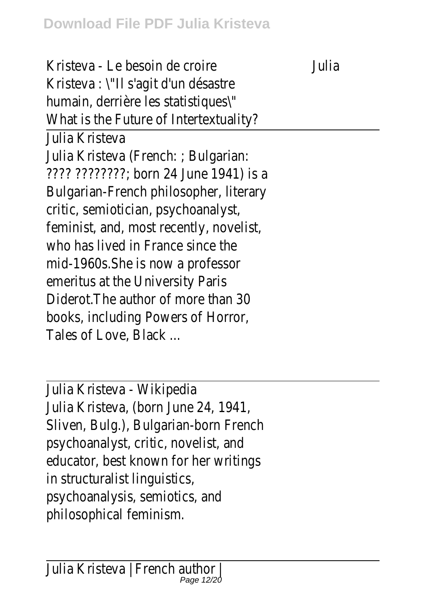Kristeva - Le besoin de croire Julia Kristeva : \"Il s'agit d'un désastre humain, derrière les statistiques\" What is the Future of Intertextuality? Julia Kristeva Julia Kristeva (French: ; Bulgarian: ???? ????????; born 24 June 1941) is a Bulgarian-French philosopher, literary critic, semiotician, psychoanalyst, feminist, and, most recently, novelist, who has lived in France since the mid-1960s.She is now a professor emeritus at the University Paris Diderot.The author of more than 30 books, including Powers of Horror, Tales of Love, Black ...

Julia Kristeva - Wikipedia Julia Kristeva, (born June 24, 1941, Sliven, Bulg.), Bulgarian-born French psychoanalyst, critic, novelist, and educator, best known for her writings in structuralist linguistics, psychoanalysis, semiotics, and philosophical feminism.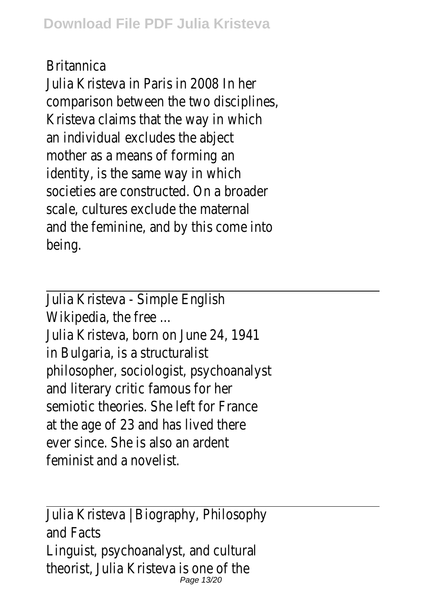## Britannica

Julia Kristeva in Paris in 2008 In her comparison between the two disciplines, Kristeva claims that the way in which an individual excludes the abject mother as a means of forming an identity, is the same way in which societies are constructed. On a broader scale, cultures exclude the maternal and the feminine, and by this come into being.

Julia Kristeva - Simple English Wikipedia, the free ... Julia Kristeva, born on June 24, 1941 in Bulgaria, is a structuralist philosopher, sociologist, psychoanalyst and literary critic famous for her semiotic theories. She left for France at the age of 23 and has lived there ever since. She is also an ardent feminist and a novelist.

Julia Kristeva | Biography, Philosophy and Facts Linguist, psychoanalyst, and cultural theorist, Julia Kristeva is one of the Page 13/20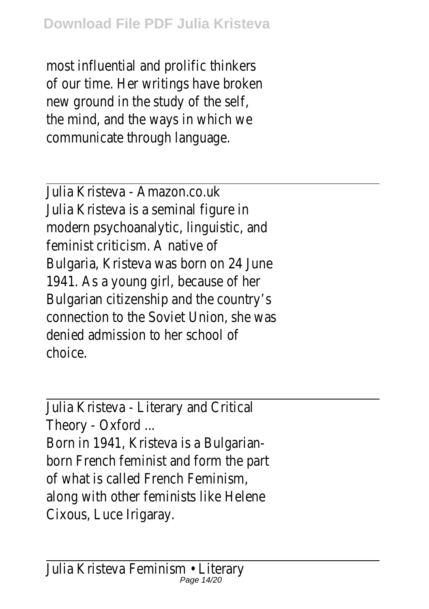most influential and prolific thinkers of our time. Her writings have broken new ground in the study of the self, the mind, and the ways in which we communicate through language.

Julia Kristeva - Amazon.co.uk Julia Kristeva is a seminal figure in modern psychoanalytic, linguistic, and feminist criticism. A native of Bulgaria, Kristeva was born on 24 June 1941. As a young girl, because of her Bulgarian citizenship and the country's connection to the Soviet Union, she was denied admission to her school of choice.

Julia Kristeva - Literary and Critical Theory - Oxford ...

Born in 1941, Kristeva is a Bulgarianborn French feminist and form the part of what is called French Feminism, along with other feminists like Helene Cixous, Luce Irigaray.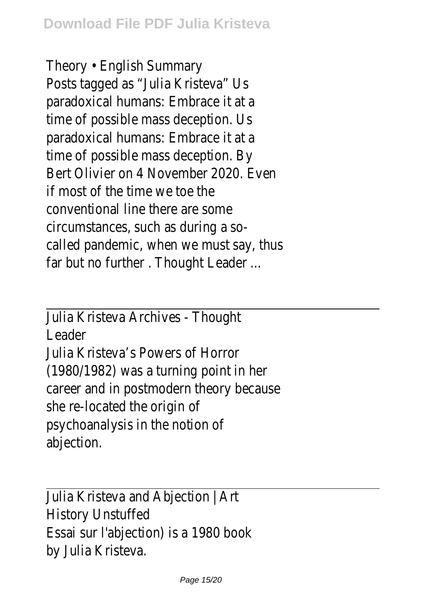Theory • English Summary Posts tagged as "Julia Kristeva" Us paradoxical humans: Embrace it at a time of possible mass deception. Us paradoxical humans: Embrace it at a time of possible mass deception. By Bert Olivier on 4 November 2020. Even if most of the time we toe the conventional line there are some circumstances, such as during a socalled pandemic, when we must say, thus far but no further . Thought Leader ...

Julia Kristeva Archives - Thought Leader Julia Kristeva's Powers of Horror (1980/1982) was a turning point in her career and in postmodern theory because she re-located the origin of psychoanalysis in the notion of abjection.

Julia Kristeva and Abjection | Art History Unstuffed Essai sur l'abjection) is a 1980 book by Julia Kristeva.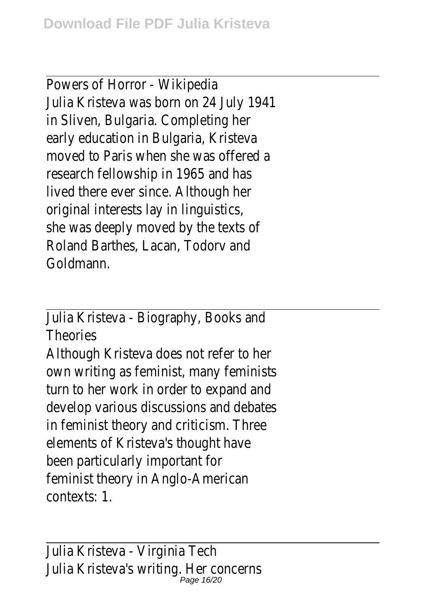Powers of Horror - Wikipedia Julia Kristeva was born on 24 July 1941 in Sliven, Bulgaria. Completing her early education in Bulgaria, Kristeva moved to Paris when she was offered a research fellowship in 1965 and has lived there ever since. Although her original interests lay in linguistics, she was deeply moved by the texts of Roland Barthes, Lacan, Todorv and Goldmann.

Julia Kristeva - Biography, Books and Theories Although Kristeva does not refer to her own writing as feminist, many feminists turn to her work in order to expand and develop various discussions and debates in feminist theory and criticism. Three elements of Kristeva's thought have been particularly important for feminist theory in Anglo-American contexts: 1.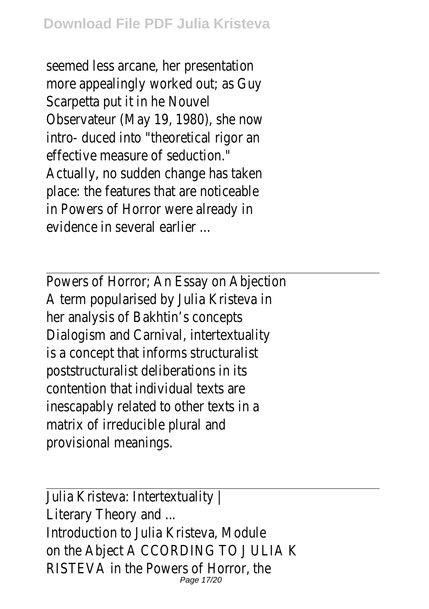seemed less arcane, her presentation more appealingly worked out; as Guy Scarpetta put it in he Nouvel Observateur (May 19, 1980), she now intro- duced into "theoretical rigor an effective measure of seduction." Actually, no sudden change has taken place: the features that are noticeable in Powers of Horror were already in evidence in several earlier ...

Powers of Horror; An Essay on Abjection A term popularised by Julia Kristeva in her analysis of Bakhtin's concepts Dialogism and Carnival, intertextuality is a concept that informs structuralist poststructuralist deliberations in its contention that individual texts are inescapably related to other texts in a matrix of irreducible plural and provisional meanings.

Julia Kristeva: Intertextuality | Literary Theory and ... Introduction to Julia Kristeva, Module on the Abject A CCORDING TO J ULIA K RISTEVA in the Powers of Horror, the Page 17/20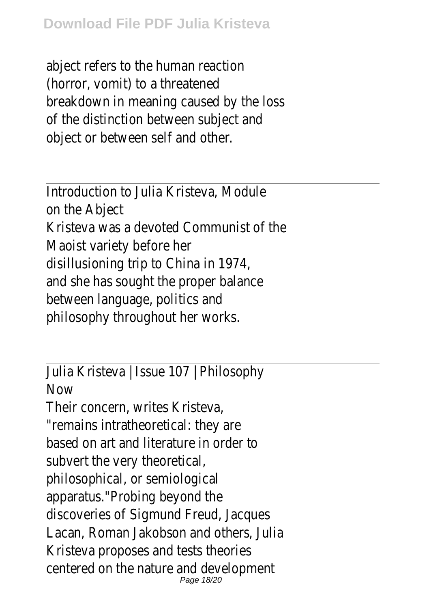abject refers to the human reaction (horror, vomit) to a threatened breakdown in meaning caused by the loss of the distinction between subject and object or between self and other.

Introduction to Julia Kristeva, Module on the Abject Kristeva was a devoted Communist of the Maoist variety before her disillusioning trip to China in 1974, and she has sought the proper balance between language, politics and philosophy throughout her works.

Julia Kristeva | Issue 107 | Philosophy **Now** 

Their concern, writes Kristeva, "remains intratheoretical: they are based on art and literature in order to subvert the very theoretical, philosophical, or semiological apparatus."Probing beyond the discoveries of Sigmund Freud, Jacques Lacan, Roman Jakobson and others, Julia Kristeva proposes and tests theories centered on the nature and development Page 18/20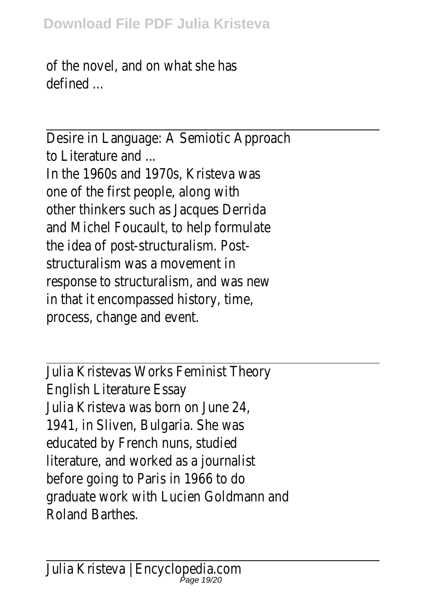of the novel, and on what she has defined ...

Desire in Language: A Semiotic Approach to Literature and ...

In the 1960s and 1970s, Kristeva was one of the first people, along with other thinkers such as Jacques Derrida and Michel Foucault, to help formulate the idea of post-structuralism. Poststructuralism was a movement in response to structuralism, and was new in that it encompassed history, time, process, change and event.

Julia Kristevas Works Feminist Theory English Literature Essay Julia Kristeva was born on June 24, 1941, in Sliven, Bulgaria. She was educated by French nuns, studied literature, and worked as a journalist before going to Paris in 1966 to do graduate work with Lucien Goldmann and Roland Barthes.